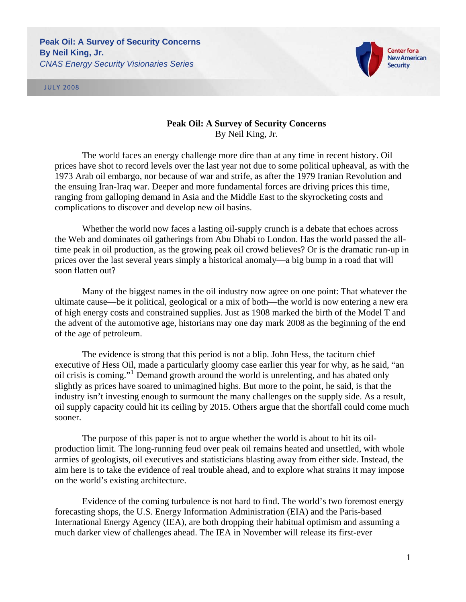JULY 2008



## **Peak Oil: A Survey of Security Concerns**  By Neil King, Jr.

The world faces an energy challenge more dire than at any time in recent history. Oil prices have shot to record levels over the last year not due to some political upheaval, as with the 1973 Arab oil embargo, nor because of war and strife, as after the 1979 Iranian Revolution and the ensuing Iran-Iraq war. Deeper and more fundamental forces are driving prices this time, ranging from galloping demand in Asia and the Middle East to the skyrocketing costs and complications to discover and develop new oil basins.

Whether the world now faces a lasting oil-supply crunch is a debate that echoes across the Web and dominates oil gatherings from Abu Dhabi to London. Has the world passed the alltime peak in oil production, as the growing peak oil crowd believes? Or is the dramatic run-up in prices over the last several years simply a historical anomaly—a big bump in a road that will soon flatten out?

Many of the biggest names in the oil industry now agree on one point: That whatever the ultimate cause—be it political, geological or a mix of both—the world is now entering a new era of high energy costs and constrained supplies. Just as 1908 marked the birth of the Model T and the advent of the automotive age, historians may one day mark 2008 as the beginning of the end of the age of petroleum.

The evidence is strong that this period is not a blip. John Hess, the taciturn chief executive of Hess Oil, made a particularly gloomy case earlier this year for why, as he said, "an oil crisis is coming."[1](#page-15-0) Demand growth around the world is unrelenting, and has abated only slightly as prices have soared to unimagined highs. But more to the point, he said, is that the industry isn't investing enough to surmount the many challenges on the supply side. As a result, oil supply capacity could hit its ceiling by 2015. Others argue that the shortfall could come much sooner.

The purpose of this paper is not to argue whether the world is about to hit its oilproduction limit. The long-running feud over peak oil remains heated and unsettled, with whole armies of geologists, oil executives and statisticians blasting away from either side. Instead, the aim here is to take the evidence of real trouble ahead, and to explore what strains it may impose on the world's existing architecture.

Evidence of the coming turbulence is not hard to find. The world's two foremost energy forecasting shops, the U.S. Energy Information Administration (EIA) and the Paris-based International Energy Agency (IEA), are both dropping their habitual optimism and assuming a much darker view of challenges ahead. The IEA in November will release its first-ever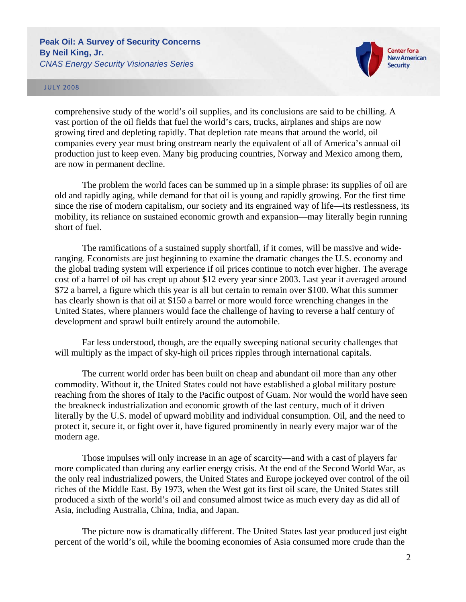

#### JULY 2008

comprehensive study of the world's oil supplies, and its conclusions are said to be chilling. A vast portion of the oil fields that fuel the world's cars, trucks, airplanes and ships are now growing tired and depleting rapidly. That depletion rate means that around the world, oil companies every year must bring onstream nearly the equivalent of all of America's annual oil production just to keep even. Many big producing countries, Norway and Mexico among them, are now in permanent decline.

The problem the world faces can be summed up in a simple phrase: its supplies of oil are old and rapidly aging, while demand for that oil is young and rapidly growing. For the first time since the rise of modern capitalism, our society and its engrained way of life—its restlessness, its mobility, its reliance on sustained economic growth and expansion—may literally begin running short of fuel.

The ramifications of a sustained supply shortfall, if it comes, will be massive and wideranging. Economists are just beginning to examine the dramatic changes the U.S. economy and the global trading system will experience if oil prices continue to notch ever higher. The average cost of a barrel of oil has crept up about \$12 every year since 2003. Last year it averaged around \$72 a barrel, a figure which this year is all but certain to remain over \$100. What this summer has clearly shown is that oil at \$150 a barrel or more would force wrenching changes in the United States, where planners would face the challenge of having to reverse a half century of development and sprawl built entirely around the automobile.

Far less understood, though, are the equally sweeping national security challenges that will multiply as the impact of sky-high oil prices ripples through international capitals.

The current world order has been built on cheap and abundant oil more than any other commodity. Without it, the United States could not have established a global military posture reaching from the shores of Italy to the Pacific outpost of Guam. Nor would the world have seen the breakneck industrialization and economic growth of the last century, much of it driven literally by the U.S. model of upward mobility and individual consumption. Oil, and the need to protect it, secure it, or fight over it, have figured prominently in nearly every major war of the modern age.

Those impulses will only increase in an age of scarcity—and with a cast of players far more complicated than during any earlier energy crisis. At the end of the Second World War, as the only real industrialized powers, the United States and Europe jockeyed over control of the oil riches of the Middle East. By 1973, when the West got its first oil scare, the United States still produced a sixth of the world's oil and consumed almost twice as much every day as did all of Asia, including Australia, China, India, and Japan.

The picture now is dramatically different. The United States last year produced just eight percent of the world's oil, while the booming economies of Asia consumed more crude than the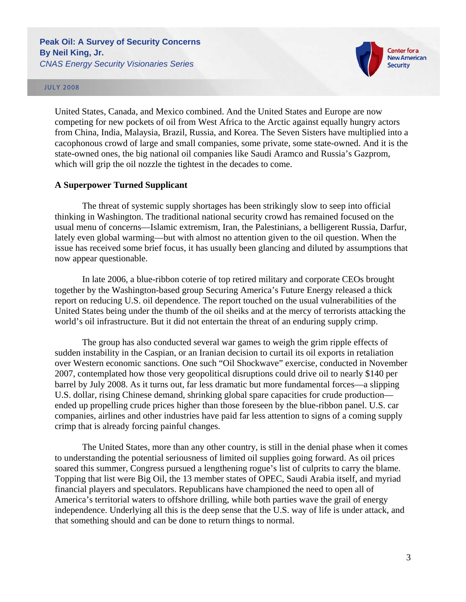

#### JULY 2008

United States, Canada, and Mexico combined. And the United States and Europe are now competing for new pockets of oil from West Africa to the Arctic against equally hungry actors from China, India, Malaysia, Brazil, Russia, and Korea. The Seven Sisters have multiplied into a cacophonous crowd of large and small companies, some private, some state-owned. And it is the state-owned ones, the big national oil companies like Saudi Aramco and Russia's Gazprom, which will grip the oil nozzle the tightest in the decades to come.

### **A Superpower Turned Supplicant**

The threat of systemic supply shortages has been strikingly slow to seep into official thinking in Washington. The traditional national security crowd has remained focused on the usual menu of concerns—Islamic extremism, Iran, the Palestinians, a belligerent Russia, Darfur, lately even global warming—but with almost no attention given to the oil question. When the issue has received some brief focus, it has usually been glancing and diluted by assumptions that now appear questionable.

In late 2006, a blue-ribbon coterie of top retired military and corporate CEOs brought together by the Washington-based group Securing America's Future Energy released a thick report on reducing U.S. oil dependence. The report touched on the usual vulnerabilities of the United States being under the thumb of the oil sheiks and at the mercy of terrorists attacking the world's oil infrastructure. But it did not entertain the threat of an enduring supply crimp.

The group has also conducted several war games to weigh the grim ripple effects of sudden instability in the Caspian, or an Iranian decision to curtail its oil exports in retaliation over Western economic sanctions. One such "Oil Shockwave" exercise, conducted in November 2007, contemplated how those very geopolitical disruptions could drive oil to nearly \$140 per barrel by July 2008. As it turns out, far less dramatic but more fundamental forces—a slipping U.S. dollar, rising Chinese demand, shrinking global spare capacities for crude production ended up propelling crude prices higher than those foreseen by the blue-ribbon panel. U.S. car companies, airlines and other industries have paid far less attention to signs of a coming supply crimp that is already forcing painful changes.

The United States, more than any other country, is still in the denial phase when it comes to understanding the potential seriousness of limited oil supplies going forward. As oil prices soared this summer, Congress pursued a lengthening rogue's list of culprits to carry the blame. Topping that list were Big Oil, the 13 member states of OPEC, Saudi Arabia itself, and myriad financial players and speculators. Republicans have championed the need to open all of America's territorial waters to offshore drilling, while both parties wave the grail of energy independence. Underlying all this is the deep sense that the U.S. way of life is under attack, and that something should and can be done to return things to normal.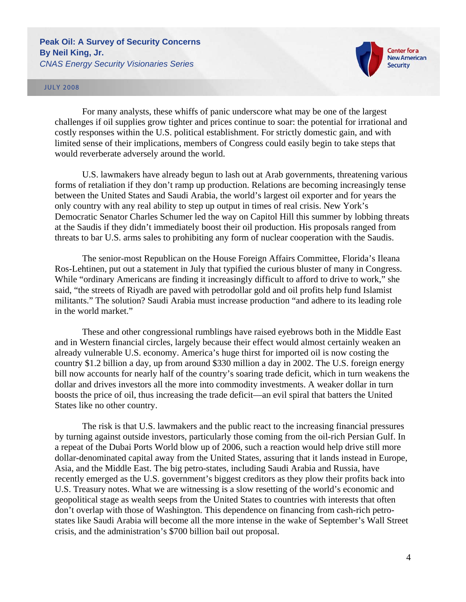

### JULY 2008

For many analysts, these whiffs of panic underscore what may be one of the largest challenges if oil supplies grow tighter and prices continue to soar: the potential for irrational and costly responses within the U.S. political establishment. For strictly domestic gain, and with limited sense of their implications, members of Congress could easily begin to take steps that would reverberate adversely around the world.

U.S. lawmakers have already begun to lash out at Arab governments, threatening various forms of retaliation if they don't ramp up production. Relations are becoming increasingly tense between the United States and Saudi Arabia, the world's largest oil exporter and for years the only country with any real ability to step up output in times of real crisis. New York's Democratic Senator Charles Schumer led the way on Capitol Hill this summer by lobbing threats at the Saudis if they didn't immediately boost their oil production. His proposals ranged from threats to bar U.S. arms sales to prohibiting any form of nuclear cooperation with the Saudis.

The senior-most Republican on the House Foreign Affairs Committee, Florida's Ileana Ros-Lehtinen, put out a statement in July that typified the curious bluster of many in Congress. While "ordinary Americans are finding it increasingly difficult to afford to drive to work," she said, "the streets of Riyadh are paved with petrodollar gold and oil profits help fund Islamist militants." The solution? Saudi Arabia must increase production "and adhere to its leading role in the world market."

These and other congressional rumblings have raised eyebrows both in the Middle East and in Western financial circles, largely because their effect would almost certainly weaken an already vulnerable U.S. economy. America's huge thirst for imported oil is now costing the country \$1.2 billion a day, up from around \$330 million a day in 2002. The U.S. foreign energy bill now accounts for nearly half of the country's soaring trade deficit, which in turn weakens the dollar and drives investors all the more into commodity investments. A weaker dollar in turn boosts the price of oil, thus increasing the trade deficit—an evil spiral that batters the United States like no other country.

The risk is that U.S. lawmakers and the public react to the increasing financial pressures by turning against outside investors, particularly those coming from the oil-rich Persian Gulf. In a repeat of the Dubai Ports World blow up of 2006, such a reaction would help drive still more dollar-denominated capital away from the United States, assuring that it lands instead in Europe, Asia, and the Middle East. The big petro-states, including Saudi Arabia and Russia, have recently emerged as the U.S. government's biggest creditors as they plow their profits back into U.S. Treasury notes. What we are witnessing is a slow resetting of the world's economic and geopolitical stage as wealth seeps from the United States to countries with interests that often don't overlap with those of Washington. This dependence on financing from cash-rich petrostates like Saudi Arabia will become all the more intense in the wake of September's Wall Street crisis, and the administration's \$700 billion bail out proposal.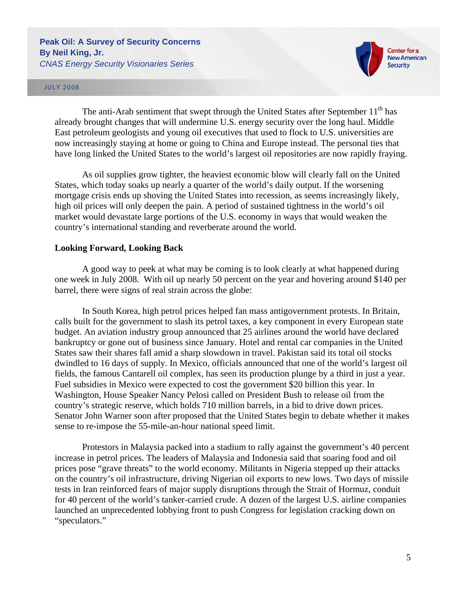

### JULY 2008

The anti-Arab sentiment that swept through the United States after September  $11<sup>th</sup>$  has already brought changes that will undermine U.S. energy security over the long haul. Middle East petroleum geologists and young oil executives that used to flock to U.S. universities are now increasingly staying at home or going to China and Europe instead. The personal ties that have long linked the United States to the world's largest oil repositories are now rapidly fraying.

As oil supplies grow tighter, the heaviest economic blow will clearly fall on the United States, which today soaks up nearly a quarter of the world's daily output. If the worsening mortgage crisis ends up shoving the United States into recession, as seems increasingly likely, high oil prices will only deepen the pain. A period of sustained tightness in the world's oil market would devastate large portions of the U.S. economy in ways that would weaken the country's international standing and reverberate around the world.

### **Looking Forward, Looking Back**

A good way to peek at what may be coming is to look clearly at what happened during one week in July 2008. With oil up nearly 50 percent on the year and hovering around \$140 per barrel, there were signs of real strain across the globe:

In South Korea, high petrol prices helped fan mass antigovernment protests. In Britain, calls built for the government to slash its petrol taxes, a key component in every European state budget. An aviation industry group announced that 25 airlines around the world have declared bankruptcy or gone out of business since January. Hotel and rental car companies in the United States saw their shares fall amid a sharp slowdown in travel. Pakistan said its total oil stocks dwindled to 16 days of supply. In Mexico, officials announced that one of the world's largest oil fields, the famous Cantarell oil complex, has seen its production plunge by a third in just a year. Fuel subsidies in Mexico were expected to cost the government \$20 billion this year. In Washington, House Speaker Nancy Pelosi called on President Bush to release oil from the country's strategic reserve, which holds 710 million barrels, in a bid to drive down prices. Senator John Warner soon after proposed that the United States begin to debate whether it makes sense to re-impose the 55-mile-an-hour national speed limit.

Protestors in Malaysia packed into a stadium to rally against the government's 40 percent increase in petrol prices. The leaders of Malaysia and Indonesia said that soaring food and oil prices pose "grave threats" to the world economy. Militants in Nigeria stepped up their attacks on the country's oil infrastructure, driving Nigerian oil exports to new lows. Two days of missile tests in Iran reinforced fears of major supply disruptions through the Strait of Hormuz, conduit for 40 percent of the world's tanker-carried crude. A dozen of the largest U.S. airline companies launched an unprecedented lobbying front to push Congress for legislation cracking down on "speculators."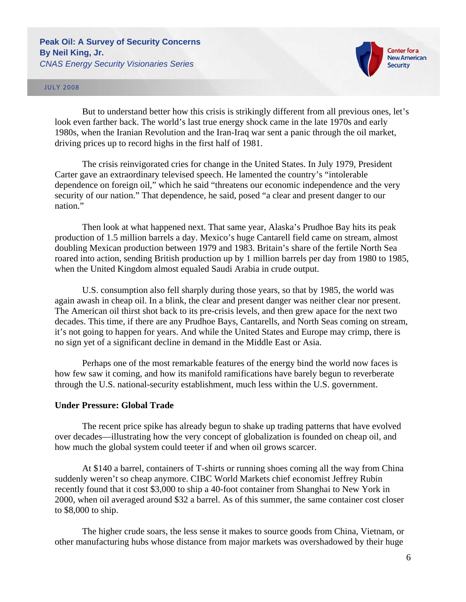

#### JULY 2008

But to understand better how this crisis is strikingly different from all previous ones, let's look even farther back. The world's last true energy shock came in the late 1970s and early 1980s, when the Iranian Revolution and the Iran-Iraq war sent a panic through the oil market, driving prices up to record highs in the first half of 1981.

The crisis reinvigorated cries for change in the United States. In July 1979, President Carter gave an extraordinary televised speech. He lamented the country's "intolerable dependence on foreign oil," which he said "threatens our economic independence and the very security of our nation." That dependence, he said, posed "a clear and present danger to our nation."

Then look at what happened next. That same year, Alaska's Prudhoe Bay hits its peak production of 1.5 million barrels a day. Mexico's huge Cantarell field came on stream, almost doubling Mexican production between 1979 and 1983. Britain's share of the fertile North Sea roared into action, sending British production up by 1 million barrels per day from 1980 to 1985, when the United Kingdom almost equaled Saudi Arabia in crude output.

U.S. consumption also fell sharply during those years, so that by 1985, the world was again awash in cheap oil. In a blink, the clear and present danger was neither clear nor present. The American oil thirst shot back to its pre-crisis levels, and then grew apace for the next two decades. This time, if there are any Prudhoe Bays, Cantarells, and North Seas coming on stream, it's not going to happen for years. And while the United States and Europe may crimp, there is no sign yet of a significant decline in demand in the Middle East or Asia.

Perhaps one of the most remarkable features of the energy bind the world now faces is how few saw it coming, and how its manifold ramifications have barely begun to reverberate through the U.S. national-security establishment, much less within the U.S. government.

### **Under Pressure: Global Trade**

The recent price spike has already begun to shake up trading patterns that have evolved over decades—illustrating how the very concept of globalization is founded on cheap oil, and how much the global system could teeter if and when oil grows scarcer.

At \$140 a barrel, containers of T-shirts or running shoes coming all the way from China suddenly weren't so cheap anymore. CIBC World Markets chief economist Jeffrey Rubin recently found that it cost \$3,000 to ship a 40-foot container from Shanghai to New York in 2000, when oil averaged around \$32 a barrel. As of this summer, the same container cost closer to \$8,000 to ship.

The higher crude soars, the less sense it makes to source goods from China, Vietnam, or other manufacturing hubs whose distance from major markets was overshadowed by their huge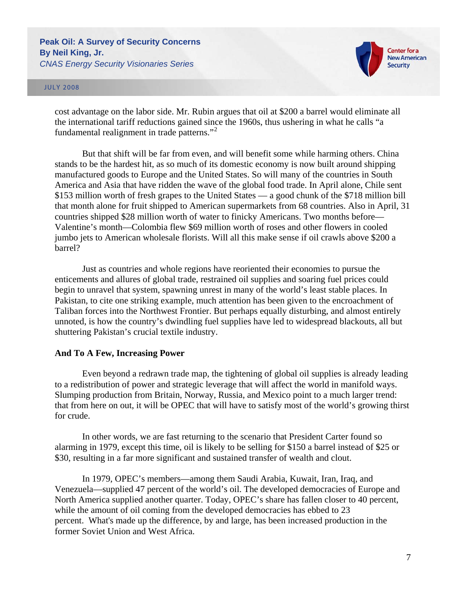

#### JULY 2008

cost advantage on the labor side. Mr. Rubin argues that oil at \$200 a barrel would eliminate all the international tariff reductions gained since the 1960s, thus ushering in what he calls "a fundamental realignment in trade patterns."[2](#page-15-1)

But that shift will be far from even, and will benefit some while harming others. China stands to be the hardest hit, as so much of its domestic economy is now built around shipping manufactured goods to Europe and the United States. So will many of the countries in South America and Asia that have ridden the wave of the global food trade. In April alone, Chile sent \$153 million worth of fresh grapes to the United States — a good chunk of the \$718 million bill that month alone for fruit shipped to American supermarkets from 68 countries. Also in April, 31 countries shipped \$28 million worth of water to finicky Americans. Two months before— Valentine's month—Colombia flew \$69 million worth of roses and other flowers in cooled jumbo jets to American wholesale florists. Will all this make sense if oil crawls above \$200 a barrel?

Just as countries and whole regions have reoriented their economies to pursue the enticements and allures of global trade, restrained oil supplies and soaring fuel prices could begin to unravel that system, spawning unrest in many of the world's least stable places. In Pakistan, to cite one striking example, much attention has been given to the encroachment of Taliban forces into the Northwest Frontier. But perhaps equally disturbing, and almost entirely unnoted, is how the country's dwindling fuel supplies have led to widespread blackouts, all but shuttering Pakistan's crucial textile industry.

### **And To A Few, Increasing Power**

Even beyond a redrawn trade map, the tightening of global oil supplies is already leading to a redistribution of power and strategic leverage that will affect the world in manifold ways. Slumping production from Britain, Norway, Russia, and Mexico point to a much larger trend: that from here on out, it will be OPEC that will have to satisfy most of the world's growing thirst for crude.

In other words, we are fast returning to the scenario that President Carter found so alarming in 1979, except this time, oil is likely to be selling for \$150 a barrel instead of \$25 or \$30, resulting in a far more significant and sustained transfer of wealth and clout.

In 1979, OPEC's members—among them Saudi Arabia, Kuwait, Iran, Iraq, and Venezuela—supplied 47 percent of the world's oil. The developed democracies of Europe and North America supplied another quarter. Today, OPEC's share has fallen closer to 40 percent, while the amount of oil coming from the developed democracies has ebbed to 23 percent. What's made up the difference, by and large, has been increased production in the former Soviet Union and West Africa.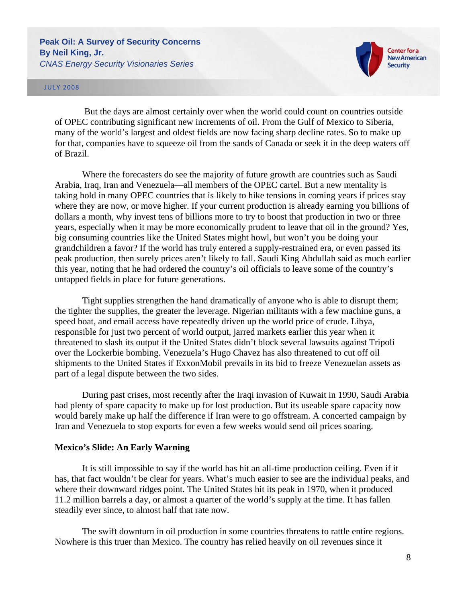

### JULY 2008

 But the days are almost certainly over when the world could count on countries outside of OPEC contributing significant new increments of oil. From the Gulf of Mexico to Siberia, many of the world's largest and oldest fields are now facing sharp decline rates. So to make up for that, companies have to squeeze oil from the sands of Canada or seek it in the deep waters off of Brazil.

Where the forecasters do see the majority of future growth are countries such as Saudi Arabia, Iraq, Iran and Venezuela—all members of the OPEC cartel. But a new mentality is taking hold in many OPEC countries that is likely to hike tensions in coming years if prices stay where they are now, or move higher. If your current production is already earning you billions of dollars a month, why invest tens of billions more to try to boost that production in two or three years, especially when it may be more economically prudent to leave that oil in the ground? Yes, big consuming countries like the United States might howl, but won't you be doing your grandchildren a favor? If the world has truly entered a supply-restrained era, or even passed its peak production, then surely prices aren't likely to fall. Saudi King Abdullah said as much earlier this year, noting that he had ordered the country's oil officials to leave some of the country's untapped fields in place for future generations.

Tight supplies strengthen the hand dramatically of anyone who is able to disrupt them; the tighter the supplies, the greater the leverage. Nigerian militants with a few machine guns, a speed boat, and email access have repeatedly driven up the world price of crude. Libya, responsible for just two percent of world output, jarred markets earlier this year when it threatened to slash its output if the United States didn't block several lawsuits against Tripoli over the Lockerbie bombing. Venezuela's Hugo Chavez has also threatened to cut off oil shipments to the United States if ExxonMobil prevails in its bid to freeze Venezuelan assets as part of a legal dispute between the two sides.

During past crises, most recently after the Iraqi invasion of Kuwait in 1990, Saudi Arabia had plenty of spare capacity to make up for lost production. But its useable spare capacity now would barely make up half the difference if Iran were to go offstream. A concerted campaign by Iran and Venezuela to stop exports for even a few weeks would send oil prices soaring.

### **Mexico's Slide: An Early Warning**

It is still impossible to say if the world has hit an all-time production ceiling. Even if it has, that fact wouldn't be clear for years. What's much easier to see are the individual peaks, and where their downward ridges point. The United States hit its peak in 1970, when it produced 11.2 million barrels a day, or almost a quarter of the world's supply at the time. It has fallen steadily ever since, to almost half that rate now.

The swift downturn in oil production in some countries threatens to rattle entire regions. Nowhere is this truer than Mexico. The country has relied heavily on oil revenues since it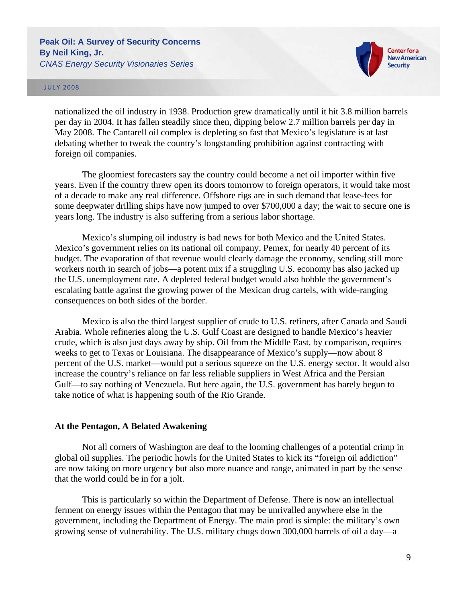

### JULY 2008

nationalized the oil industry in 1938. Production grew dramatically until it hit 3.8 million barrels per day in 2004. It has fallen steadily since then, dipping below 2.7 million barrels per day in May 2008. The Cantarell oil complex is depleting so fast that Mexico's legislature is at last debating whether to tweak the country's longstanding prohibition against contracting with foreign oil companies.

The gloomiest forecasters say the country could become a net oil importer within five years. Even if the country threw open its doors tomorrow to foreign operators, it would take most of a decade to make any real difference. Offshore rigs are in such demand that lease-fees for some deepwater drilling ships have now jumped to over \$700,000 a day; the wait to secure one is years long. The industry is also suffering from a serious labor shortage.

Mexico's slumping oil industry is bad news for both Mexico and the United States. Mexico's government relies on its national oil company, Pemex, for nearly 40 percent of its budget. The evaporation of that revenue would clearly damage the economy, sending still more workers north in search of jobs—a potent mix if a struggling U.S. economy has also jacked up the U.S. unemployment rate. A depleted federal budget would also hobble the government's escalating battle against the growing power of the Mexican drug cartels, with wide-ranging consequences on both sides of the border.

Mexico is also the third largest supplier of crude to U.S. refiners, after Canada and Saudi Arabia. Whole refineries along the U.S. Gulf Coast are designed to handle Mexico's heavier crude, which is also just days away by ship. Oil from the Middle East, by comparison, requires weeks to get to Texas or Louisiana. The disappearance of Mexico's supply—now about 8 percent of the U.S. market—would put a serious squeeze on the U.S. energy sector. It would also increase the country's reliance on far less reliable suppliers in West Africa and the Persian Gulf—to say nothing of Venezuela. But here again, the U.S. government has barely begun to take notice of what is happening south of the Rio Grande.

### **At the Pentagon, A Belated Awakening**

Not all corners of Washington are deaf to the looming challenges of a potential crimp in global oil supplies. The periodic howls for the United States to kick its "foreign oil addiction" are now taking on more urgency but also more nuance and range, animated in part by the sense that the world could be in for a jolt.

This is particularly so within the Department of Defense. There is now an intellectual ferment on energy issues within the Pentagon that may be unrivalled anywhere else in the government, including the Department of Energy. The main prod is simple: the military's own growing sense of vulnerability. The U.S. military chugs down 300,000 barrels of oil a day—a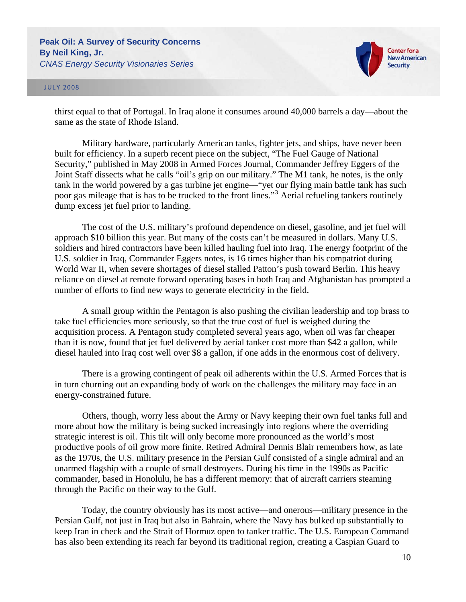



thirst equal to that of Portugal. In Iraq alone it consumes around 40,000 barrels a day—about the same as the state of Rhode Island.

Military hardware, particularly American tanks, fighter jets, and ships, have never been built for efficiency. In a superb recent piece on the subject, "The Fuel Gauge of National Security," published in May 2008 in Armed Forces Journal, Commander Jeffrey Eggers of the Joint Staff dissects what he calls "oil's grip on our military." The M1 tank, he notes, is the only tank in the world powered by a gas turbine jet engine—"yet our flying main battle tank has such poor gas mileage that is has to be trucked to the front lines."[3](#page-15-1) Aerial refueling tankers routinely dump excess jet fuel prior to landing.

The cost of the U.S. military's profound dependence on diesel, gasoline, and jet fuel will approach \$10 billion this year. But many of the costs can't be measured in dollars. Many U.S. soldiers and hired contractors have been killed hauling fuel into Iraq. The energy footprint of the U.S. soldier in Iraq, Commander Eggers notes, is 16 times higher than his compatriot during World War II, when severe shortages of diesel stalled Patton's push toward Berlin. This heavy reliance on diesel at remote forward operating bases in both Iraq and Afghanistan has prompted a number of efforts to find new ways to generate electricity in the field.

A small group within the Pentagon is also pushing the civilian leadership and top brass to take fuel efficiencies more seriously, so that the true cost of fuel is weighed during the acquisition process. A Pentagon study completed several years ago, when oil was far cheaper than it is now, found that jet fuel delivered by aerial tanker cost more than \$42 a gallon, while diesel hauled into Iraq cost well over \$8 a gallon, if one adds in the enormous cost of delivery.

There is a growing contingent of peak oil adherents within the U.S. Armed Forces that is in turn churning out an expanding body of work on the challenges the military may face in an energy-constrained future.

Others, though, worry less about the Army or Navy keeping their own fuel tanks full and more about how the military is being sucked increasingly into regions where the overriding strategic interest is oil. This tilt will only become more pronounced as the world's most productive pools of oil grow more finite. Retired Admiral Dennis Blair remembers how, as late as the 1970s, the U.S. military presence in the Persian Gulf consisted of a single admiral and an unarmed flagship with a couple of small destroyers. During his time in the 1990s as Pacific commander, based in Honolulu, he has a different memory: that of aircraft carriers steaming through the Pacific on their way to the Gulf.

Today, the country obviously has its most active—and onerous—military presence in the Persian Gulf, not just in Iraq but also in Bahrain, where the Navy has bulked up substantially to keep Iran in check and the Strait of Hormuz open to tanker traffic. The U.S. European Command has also been extending its reach far beyond its traditional region, creating a Caspian Guard to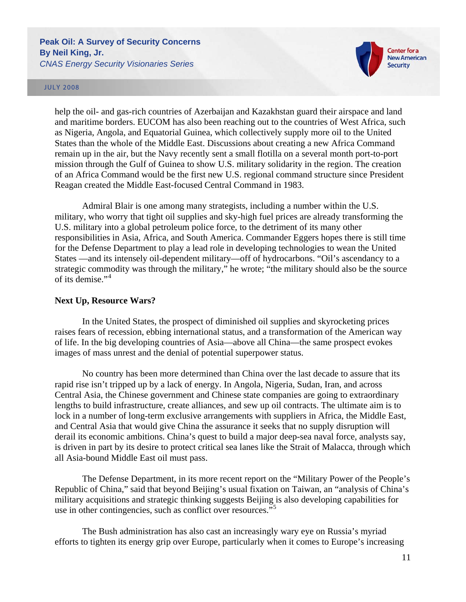

#### JULY 2008

help the oil- and gas-rich countries of Azerbaijan and Kazakhstan guard their airspace and land and maritime borders. EUCOM has also been reaching out to the countries of West Africa, such as Nigeria, Angola, and Equatorial Guinea, which collectively supply more oil to the United States than the whole of the Middle East. Discussions about creating a new Africa Command remain up in the air, but the Navy recently sent a small flotilla on a several month port-to-port mission through the Gulf of Guinea to show U.S. military solidarity in the region. The creation of an Africa Command would be the first new U.S. regional command structure since President Reagan created the Middle East-focused Central Command in 1983.

Admiral Blair is one among many strategists, including a number within the U.S. military, who worry that tight oil supplies and sky-high fuel prices are already transforming the U.S. military into a global petroleum police force, to the detriment of its many other responsibilities in Asia, Africa, and South America. Commander Eggers hopes there is still time for the Defense Department to play a lead role in developing technologies to wean the United States —and its intensely oil-dependent military—off of hydrocarbons. "Oil's ascendancy to a strategic commodity was through the military," he wrote; "the military should also be the source of its demise."[4](#page-15-1)

### **Next Up, Resource Wars?**

In the United States, the prospect of diminished oil supplies and skyrocketing prices raises fears of recession, ebbing international status, and a transformation of the American way of life. In the big developing countries of Asia—above all China—the same prospect evokes images of mass unrest and the denial of potential superpower status.

No country has been more determined than China over the last decade to assure that its rapid rise isn't tripped up by a lack of energy. In Angola, Nigeria, Sudan, Iran, and across Central Asia, the Chinese government and Chinese state companies are going to extraordinary lengths to build infrastructure, create alliances, and sew up oil contracts. The ultimate aim is to lock in a number of long-term exclusive arrangements with suppliers in Africa, the Middle East, and Central Asia that would give China the assurance it seeks that no supply disruption will derail its economic ambitions. China's quest to build a major deep-sea naval force, analysts say, is driven in part by its desire to protect critical sea lanes like the Strait of Malacca, through which all Asia-bound Middle East oil must pass.

The Defense Department, in its more recent report on the "Military Power of the People's Republic of China," said that beyond Beijing's usual fixation on Taiwan, an "analysis of China's military acquisitions and strategic thinking suggests Beijing is also developing capabilities for use in other contingencies, such as conflict over resources."<sup>[5](#page-15-1)</sup>

The Bush administration has also cast an increasingly wary eye on Russia's myriad efforts to tighten its energy grip over Europe, particularly when it comes to Europe's increasing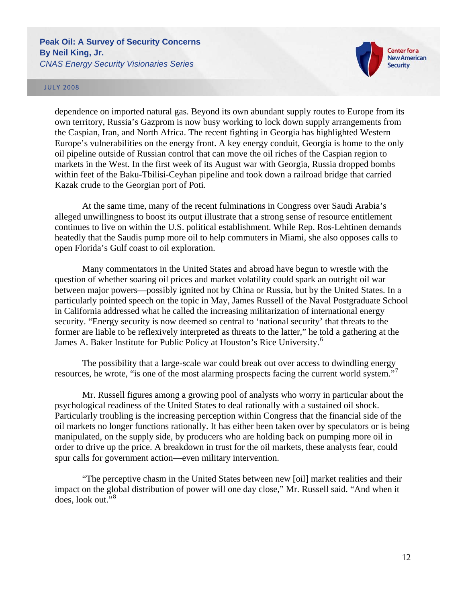

#### JULY 2008

dependence on imported natural gas. Beyond its own abundant supply routes to Europe from its own territory, Russia's Gazprom is now busy working to lock down supply arrangements from the Caspian, Iran, and North Africa. The recent fighting in Georgia has highlighted Western Europe's vulnerabilities on the energy front. A key energy conduit, Georgia is home to the only oil pipeline outside of Russian control that can move the oil riches of the Caspian region to markets in the West. In the first week of its August war with Georgia, Russia dropped bombs within feet of the Baku-Tbilisi-Ceyhan pipeline and took down a railroad bridge that carried Kazak crude to the Georgian port of Poti.

At the same time, many of the recent fulminations in Congress over Saudi Arabia's alleged unwillingness to boost its output illustrate that a strong sense of resource entitlement continues to live on within the U.S. political establishment. While Rep. Ros-Lehtinen demands heatedly that the Saudis pump more oil to help commuters in Miami, she also opposes calls to open Florida's Gulf coast to oil exploration.

Many commentators in the United States and abroad have begun to wrestle with the question of whether soaring oil prices and market volatility could spark an outright oil war between major powers—possibly ignited not by China or Russia, but by the United States. In a particularly pointed speech on the topic in May, James Russell of the Naval Postgraduate School in California addressed what he called the increasing militarization of international energy security. "Energy security is now deemed so central to 'national security' that threats to the former are liable to be reflexively interpreted as threats to the latter," he told a gathering at the James A. Baker Institute for Public Policy at Houston's Rice University.<sup>[6](#page-15-1)</sup>

The possibility that a large-scale war could break out over access to dwindling energy resources, he wrote, "is one of the most alarming prospects facing the current world system."

Mr. Russell figures among a growing pool of analysts who worry in particular about the psychological readiness of the United States to deal rationally with a sustained oil shock. Particularly troubling is the increasing perception within Congress that the financial side of the oil markets no longer functions rationally. It has either been taken over by speculators or is being manipulated, on the supply side, by producers who are holding back on pumping more oil in order to drive up the price. A breakdown in trust for the oil markets, these analysts fear, could spur calls for government action—even military intervention.

"The perceptive chasm in the United States between new [oil] market realities and their impact on the global distribution of power will one day close," Mr. Russell said. "And when it does, look out."[8](#page-15-1)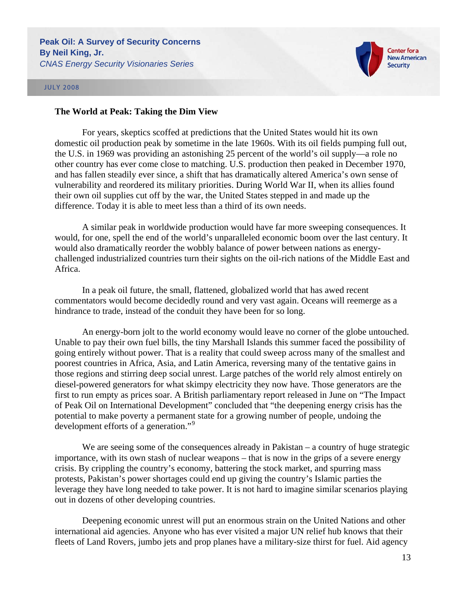



## **The World at Peak: Taking the Dim View**

For years, skeptics scoffed at predictions that the United States would hit its own domestic oil production peak by sometime in the late 1960s. With its oil fields pumping full out, the U.S. in 1969 was providing an astonishing 25 percent of the world's oil supply—a role no other country has ever come close to matching. U.S. production then peaked in December 1970, and has fallen steadily ever since, a shift that has dramatically altered America's own sense of vulnerability and reordered its military priorities. During World War II, when its allies found their own oil supplies cut off by the war, the United States stepped in and made up the difference. Today it is able to meet less than a third of its own needs.

A similar peak in worldwide production would have far more sweeping consequences. It would, for one, spell the end of the world's unparalleled economic boom over the last century. It would also dramatically reorder the wobbly balance of power between nations as energychallenged industrialized countries turn their sights on the oil-rich nations of the Middle East and Africa.

In a peak oil future, the small, flattened, globalized world that has awed recent commentators would become decidedly round and very vast again. Oceans will reemerge as a hindrance to trade, instead of the conduit they have been for so long.

An energy-born jolt to the world economy would leave no corner of the globe untouched. Unable to pay their own fuel bills, the tiny Marshall Islands this summer faced the possibility of going entirely without power. That is a reality that could sweep across many of the smallest and poorest countries in Africa, Asia, and Latin America, reversing many of the tentative gains in those regions and stirring deep social unrest. Large patches of the world rely almost entirely on diesel-powered generators for what skimpy electricity they now have. Those generators are the first to run empty as prices soar. A British parliamentary report released in June on "The Impact of Peak Oil on International Development" concluded that "the deepening energy crisis has the potential to make poverty a permanent state for a growing number of people, undoing the development efforts of a generation."<sup>[9](#page-15-1)</sup>

We are seeing some of the consequences already in Pakistan – a country of huge strategic importance, with its own stash of nuclear weapons – that is now in the grips of a severe energy crisis. By crippling the country's economy, battering the stock market, and spurring mass protests, Pakistan's power shortages could end up giving the country's Islamic parties the leverage they have long needed to take power. It is not hard to imagine similar scenarios playing out in dozens of other developing countries.

Deepening economic unrest will put an enormous strain on the United Nations and other international aid agencies. Anyone who has ever visited a major UN relief hub knows that their fleets of Land Rovers, jumbo jets and prop planes have a military-size thirst for fuel. Aid agency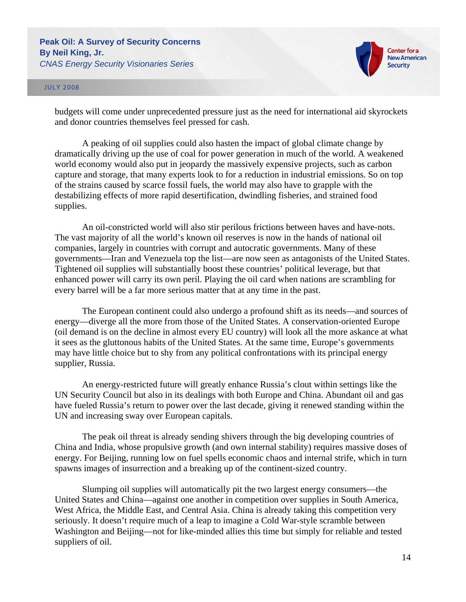



budgets will come under unprecedented pressure just as the need for international aid skyrockets and donor countries themselves feel pressed for cash.

A peaking of oil supplies could also hasten the impact of global climate change by dramatically driving up the use of coal for power generation in much of the world. A weakened world economy would also put in jeopardy the massively expensive projects, such as carbon capture and storage, that many experts look to for a reduction in industrial emissions. So on top of the strains caused by scarce fossil fuels, the world may also have to grapple with the destabilizing effects of more rapid desertification, dwindling fisheries, and strained food supplies.

An oil-constricted world will also stir perilous frictions between haves and have-nots. The vast majority of all the world's known oil reserves is now in the hands of national oil companies, largely in countries with corrupt and autocratic governments. Many of these governments—Iran and Venezuela top the list—are now seen as antagonists of the United States. Tightened oil supplies will substantially boost these countries' political leverage, but that enhanced power will carry its own peril. Playing the oil card when nations are scrambling for every barrel will be a far more serious matter that at any time in the past.

The European continent could also undergo a profound shift as its needs—and sources of energy—diverge all the more from those of the United States. A conservation-oriented Europe (oil demand is on the decline in almost every EU country) will look all the more askance at what it sees as the gluttonous habits of the United States. At the same time, Europe's governments may have little choice but to shy from any political confrontations with its principal energy supplier, Russia.

An energy-restricted future will greatly enhance Russia's clout within settings like the UN Security Council but also in its dealings with both Europe and China. Abundant oil and gas have fueled Russia's return to power over the last decade, giving it renewed standing within the UN and increasing sway over European capitals.

The peak oil threat is already sending shivers through the big developing countries of China and India, whose propulsive growth (and own internal stability) requires massive doses of energy. For Beijing, running low on fuel spells economic chaos and internal strife, which in turn spawns images of insurrection and a breaking up of the continent-sized country.

Slumping oil supplies will automatically pit the two largest energy consumers—the United States and China—against one another in competition over supplies in South America, West Africa, the Middle East, and Central Asia. China is already taking this competition very seriously. It doesn't require much of a leap to imagine a Cold War-style scramble between Washington and Beijing—not for like-minded allies this time but simply for reliable and tested suppliers of oil.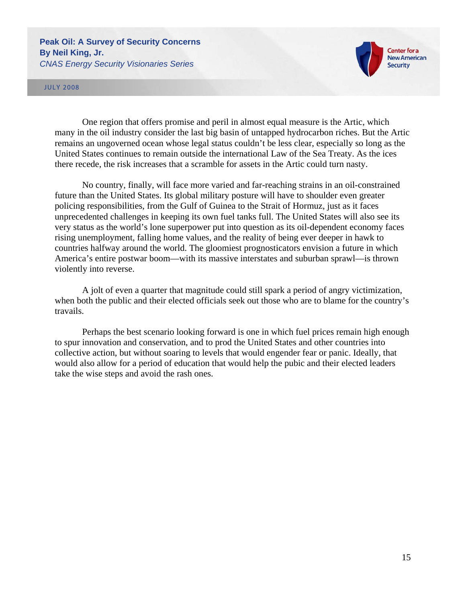

### JULY 2008

One region that offers promise and peril in almost equal measure is the Artic, which many in the oil industry consider the last big basin of untapped hydrocarbon riches. But the Artic remains an ungoverned ocean whose legal status couldn't be less clear, especially so long as the United States continues to remain outside the international Law of the Sea Treaty. As the ices there recede, the risk increases that a scramble for assets in the Artic could turn nasty.

No country, finally, will face more varied and far-reaching strains in an oil-constrained future than the United States. Its global military posture will have to shoulder even greater policing responsibilities, from the Gulf of Guinea to the Strait of Hormuz, just as it faces unprecedented challenges in keeping its own fuel tanks full. The United States will also see its very status as the world's lone superpower put into question as its oil-dependent economy faces rising unemployment, falling home values, and the reality of being ever deeper in hawk to countries halfway around the world. The gloomiest prognosticators envision a future in which America's entire postwar boom—with its massive interstates and suburban sprawl—is thrown violently into reverse.

A jolt of even a quarter that magnitude could still spark a period of angry victimization, when both the public and their elected officials seek out those who are to blame for the country's travails.

Perhaps the best scenario looking forward is one in which fuel prices remain high enough to spur innovation and conservation, and to prod the United States and other countries into collective action, but without soaring to levels that would engender fear or panic. Ideally, that would also allow for a period of education that would help the pubic and their elected leaders take the wise steps and avoid the rash ones.